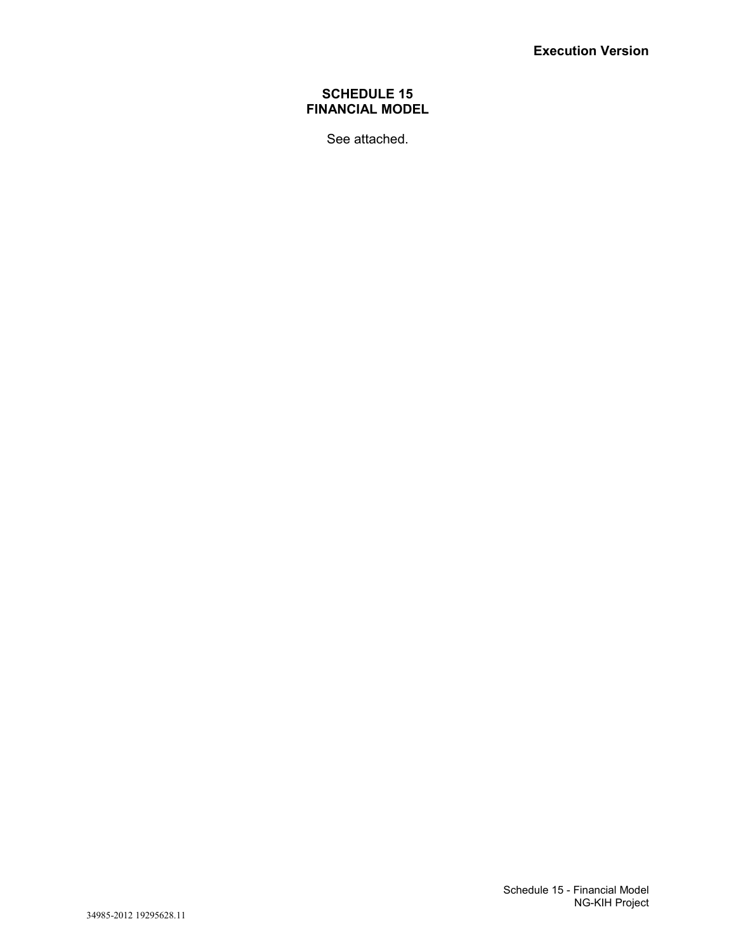# **SCHEDULE 15 FINANCIAL MODEL**

See attached.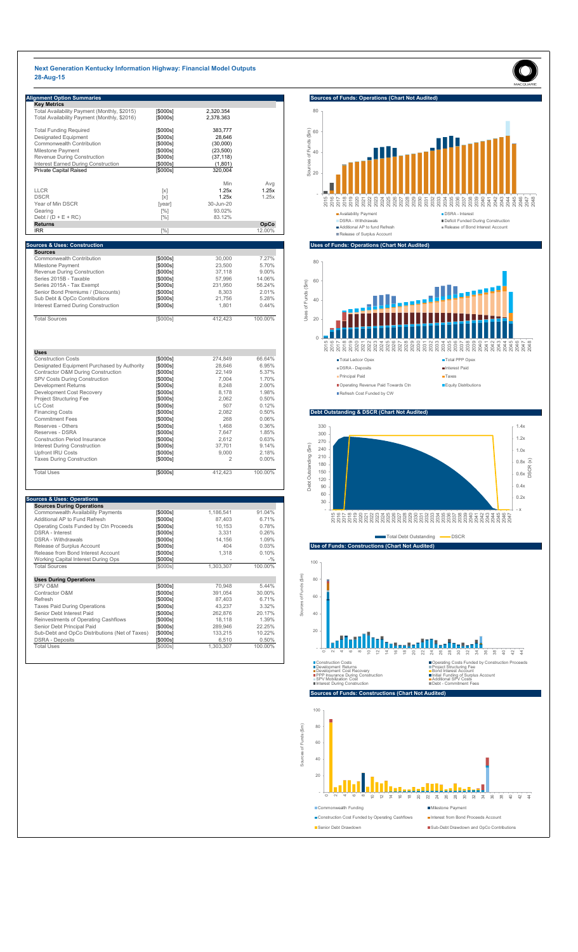# **Next Generation Kentucky Information Highway: Financial Model Outputs 28-Aug-15**

| <b>Alignment Option Summaries</b>            |          |           |        |
|----------------------------------------------|----------|-----------|--------|
| <b>Key Metrics</b>                           |          |           |        |
| Total Availability Payment (Monthly, \$2015) | [\$000s] | 2,320.354 |        |
| Total Availability Payment (Monthly, \$2016) | [\$000s] | 2,378.363 |        |
| <b>Total Funding Required</b>                | [\$000s] | 383,777   |        |
| <b>Designated Equipment</b>                  | [\$000s] | 28,646    |        |
| Commonwealth Contribution                    | [\$000s] | (30,000)  |        |
| Milestone Payment                            | [\$000s] | (23,500)  |        |
| <b>Revenue During Construction</b>           | [\$000s] | (37, 118) |        |
| <b>Interest Earned During Construction</b>   | [\$000s] | (1,801)   |        |
| <b>Private Capital Raised</b>                | [\$000s] | 320,004   |        |
|                                              |          | Min       | Avg    |
| <b>LLCR</b>                                  | [x]      | 1.25x     | 1.25x  |
| <b>DSCR</b>                                  | [x]      | 1.25x     | 1.25x  |
| Year of Min DSCR                             | [year]   | 30-Jun-20 |        |
| Gearing                                      | $[\%]$   | 93.02%    |        |
| Debt / $(D + E + RC)$                        | $[\%]$   | 83.12%    |        |
| <b>Returns</b>                               |          |           | OpCo   |
| <b>IRR</b>                                   | [%]      |           | 12.00% |

| <b>Sources</b>                             |          |         |          |
|--------------------------------------------|----------|---------|----------|
| <b>Commonwealth Contribution</b>           | [\$000s] | 30,000  | 7.27%    |
| Milestone Payment                          | [\$000s] | 23,500  | 5.70%    |
| <b>Revenue During Construction</b>         | [\$000s] | 37,118  | $9.00\%$ |
| Series 2015B - Taxable                     | [\$000s] | 57,996  | 14.06%   |
| Series 2015A - Tax Exempt                  | [\$000s] | 231,950 | 56.24%   |
| Senior Bond Premiums / (Discounts)         | [\$000s] | 8,303   | 2.01%    |
| Sub Debt & OpCo Contributions              | [\$000s] | 21,756  | 5.28%    |
| <b>Interest Earned During Construction</b> | [\$000s] | 1,801   | 0.44%    |
| <b>Total Sources</b>                       | [\$000s] | 412,423 | 100.00%  |

| <b>Uses</b>                                 |          |         |          |
|---------------------------------------------|----------|---------|----------|
| <b>Construction Costs</b>                   | [\$000s] | 274,849 | 66.64%   |
| Designated Equipment Purchased by Authority | [\$000s] | 28,646  | 6.95%    |
| Contractor O&M During Construction          | [\$000s] | 22,149  | 5.37%    |
| <b>SPV Costs During Construction</b>        | [\$000s] | 7,004   | 1.70%    |
| <b>Development Returns</b>                  | [\$000s] | 8,248   | 2.00%    |
| Development Cost Recovery                   | [\$000s] | 8,178   | 1.98%    |
| <b>Project Structuring Fee</b>              | [\$000s] | 2,062   | 0.50%    |
| LC Cost                                     | [\$000s] | 507     | 0.12%    |
| <b>Financing Costs</b>                      | [\$000s] | 2,082   | 0.50%    |
| <b>Commitment Fees</b>                      | [\$000s] | 268     | $0.06\%$ |
| Reserves - Others                           | [\$000s] | 1,468   | 0.36%    |
| Reserves - DSRA                             | [\$000s] | 7,647   | 1.85%    |
| <b>Construction Period Insurance</b>        | [\$000s] | 2,612   | 0.63%    |
| <b>Interest During Construction</b>         | [\$000s] | 37,701  | 9.14%    |
| <b>Upfront IRU Costs</b>                    | [\$000s] | 9,000   | 2.18%    |
| <b>Taxes During Construction</b>            | [\$000s] | 2       | $0.00\%$ |
| <b>Total Uses</b>                           | [\$000s] | 412.423 | 100.00%  |



### **Uses of Funds: Operations (Chart Not Audited)**

| <b>Sources &amp; Uses: Operations</b><br><b>Sources During Operations</b> |          |           |                 |
|---------------------------------------------------------------------------|----------|-----------|-----------------|
| <b>Commonwealth Availability Payments</b>                                 | [\$000s] | 1,186,541 | 91.04%          |
| Additional AP to Fund Refresh                                             | [\$000s] | 87,403    | 6.71%           |
| Operating Costs Funded by Ctn Proceeds                                    | [\$000s] | 10,153    | 0.78%           |
| <b>DSRA</b> - Interest                                                    | [\$000s] | 3,331     | 0.26%           |
| <b>DSRA</b> - Withdrawals                                                 | [\$000s] | 14,156    | 1.09%           |
| Release of Surplus Account                                                | [\$000s] | 404       | 0.03%           |
| Release from Bond Interest Account                                        | [\$000s] | 1,318     | 0.10%           |
| <b>Working Capital Interest During Ops</b>                                | [\$000s] |           | $- \frac{0}{0}$ |
| <b>Total Sources</b>                                                      | [\$000s] | 1,303,307 | 100.00%         |
| <b>Uses During Operations</b>                                             |          |           |                 |
| <b>SPV O&amp;M</b>                                                        | [\$000s] | 70,948    | 5.44%           |
| Contractor O&M                                                            | [\$000s] | 391,054   | 30.00%          |
| Refresh                                                                   | [\$000s] | 87,403    | 6.71%           |
| <b>Taxes Paid During Operations</b>                                       | [\$000s] | 43,237    | 3.32%           |
| Senior Debt Interest Paid                                                 | [\$000s] | 262,876   | 20.17%          |
| Reinvestments of Operating Cashflows                                      | [\$000s] | 18,118    | 1.39%           |
| Senior Debt Principal Paid                                                | [\$000s] | 289,946   | 22.25%          |
| Sub-Debt and OpCo Distributions (Net of Taxes)                            | [\$000s] | 133,215   | 10.22%          |
| <b>DSRA - Deposits</b>                                                    | [\$000s] | 6,510     | 0.50%           |
| <b>Total Uses</b>                                                         | [\$000s] | 1,303,307 | 100.00%         |



# **Debt Outstanding & DSCR (Chart Not Audited)**



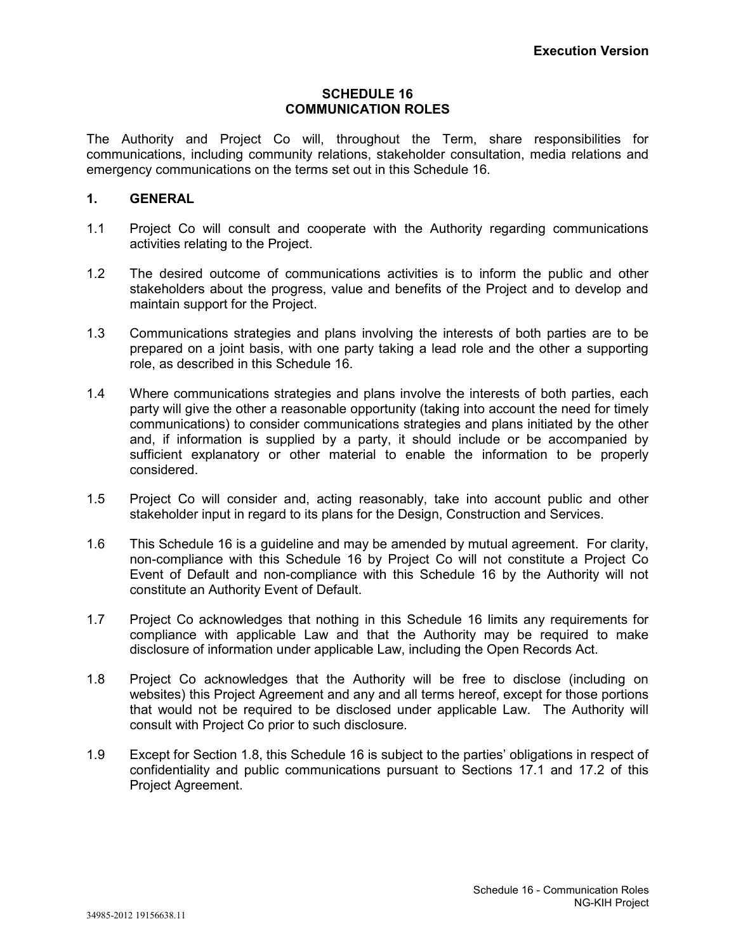### **SCHEDULE 16 COMMUNICATION ROLES**

The Authority and Project Co will, throughout the Term, share responsibilities for communications, including community relations, stakeholder consultation, media relations and emergency communications on the terms set out in this Schedule 16.

## **1. GENERAL**

- 1.1 Project Co will consult and cooperate with the Authority regarding communications activities relating to the Project.
- 1.2 The desired outcome of communications activities is to inform the public and other stakeholders about the progress, value and benefits of the Project and to develop and maintain support for the Project.
- 1.3 Communications strategies and plans involving the interests of both parties are to be prepared on a joint basis, with one party taking a lead role and the other a supporting role, as described in this Schedule 16.
- 1.4 Where communications strategies and plans involve the interests of both parties, each party will give the other a reasonable opportunity (taking into account the need for timely communications) to consider communications strategies and plans initiated by the other and, if information is supplied by a party, it should include or be accompanied by sufficient explanatory or other material to enable the information to be properly considered.
- 1.5 Project Co will consider and, acting reasonably, take into account public and other stakeholder input in regard to its plans for the Design, Construction and Services.
- 1.6 This Schedule 16 is a guideline and may be amended by mutual agreement. For clarity, non-compliance with this Schedule 16 by Project Co will not constitute a Project Co Event of Default and non-compliance with this Schedule 16 by the Authority will not constitute an Authority Event of Default.
- 1.7 Project Co acknowledges that nothing in this Schedule 16 limits any requirements for compliance with applicable Law and that the Authority may be required to make disclosure of information under applicable Law, including the Open Records Act.
- 1.8 Project Co acknowledges that the Authority will be free to disclose (including on websites) this Project Agreement and any and all terms hereof, except for those portions that would not be required to be disclosed under applicable Law. The Authority will consult with Project Co prior to such disclosure.
- 1.9 Except for Section 1.8, this Schedule 16 is subject to the parties' obligations in respect of confidentiality and public communications pursuant to Sections 17.1 and 17.2 of this Project Agreement.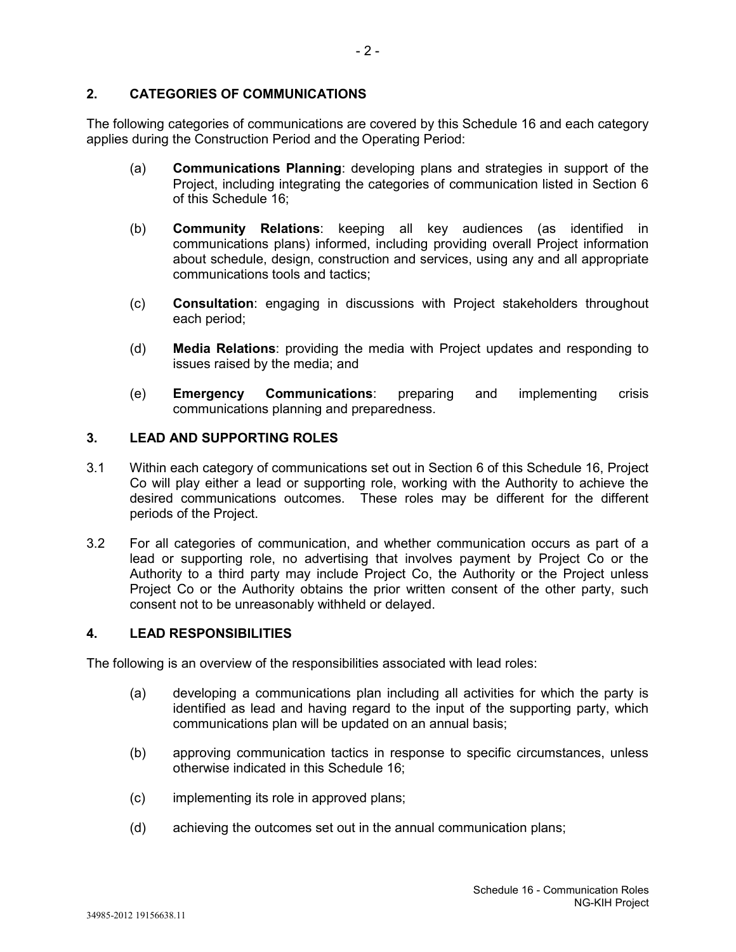# **2. CATEGORIES OF COMMUNICATIONS**

The following categories of communications are covered by this Schedule 16 and each category applies during the Construction Period and the Operating Period:

- (a) **Communications Planning**: developing plans and strategies in support of the Project, including integrating the categories of communication listed in Section 6 of this Schedule 16;
- (b) **Community Relations**: keeping all key audiences (as identified in communications plans) informed, including providing overall Project information about schedule, design, construction and services, using any and all appropriate communications tools and tactics;
- (c) **Consultation**: engaging in discussions with Project stakeholders throughout each period;
- (d) **Media Relations**: providing the media with Project updates and responding to issues raised by the media; and
- (e) **Emergency Communications**: preparing and implementing crisis communications planning and preparedness.

### **3. LEAD AND SUPPORTING ROLES**

- 3.1 Within each category of communications set out in Section 6 of this Schedule 16, Project Co will play either a lead or supporting role, working with the Authority to achieve the desired communications outcomes. These roles may be different for the different periods of the Project.
- 3.2 For all categories of communication, and whether communication occurs as part of a lead or supporting role, no advertising that involves payment by Project Co or the Authority to a third party may include Project Co, the Authority or the Project unless Project Co or the Authority obtains the prior written consent of the other party, such consent not to be unreasonably withheld or delayed.

#### **4. LEAD RESPONSIBILITIES**

The following is an overview of the responsibilities associated with lead roles:

- (a) developing a communications plan including all activities for which the party is identified as lead and having regard to the input of the supporting party, which communications plan will be updated on an annual basis;
- (b) approving communication tactics in response to specific circumstances, unless otherwise indicated in this Schedule 16;
- (c) implementing its role in approved plans;
- (d) achieving the outcomes set out in the annual communication plans;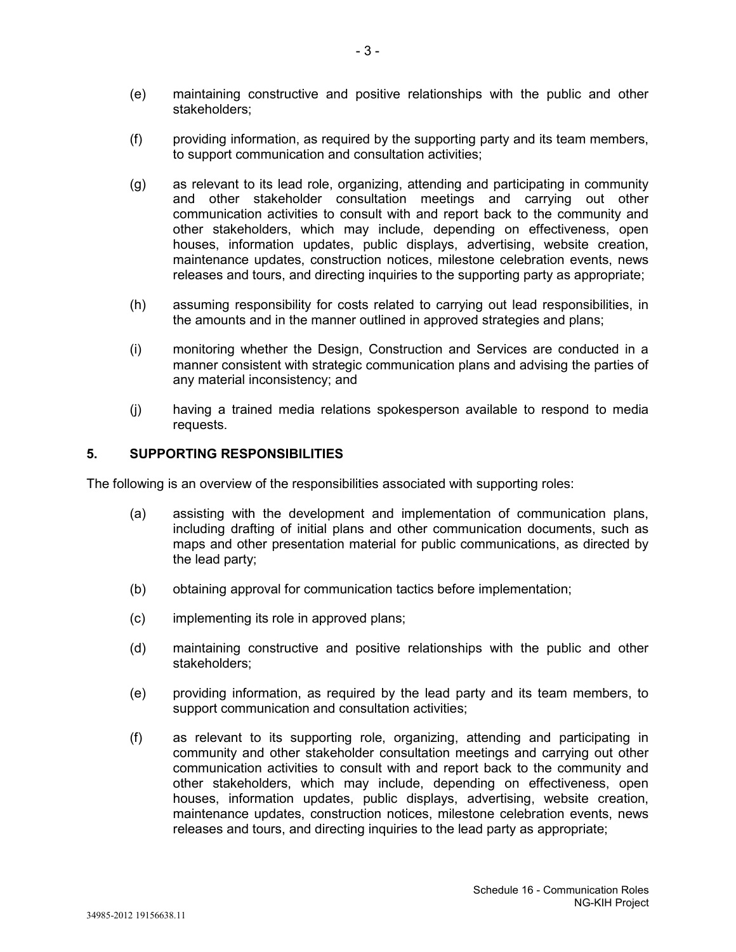- (e) maintaining constructive and positive relationships with the public and other stakeholders;
- (f) providing information, as required by the supporting party and its team members, to support communication and consultation activities;
- (g) as relevant to its lead role, organizing, attending and participating in community and other stakeholder consultation meetings and carrying out other communication activities to consult with and report back to the community and other stakeholders, which may include, depending on effectiveness, open houses, information updates, public displays, advertising, website creation, maintenance updates, construction notices, milestone celebration events, news releases and tours, and directing inquiries to the supporting party as appropriate;
- (h) assuming responsibility for costs related to carrying out lead responsibilities, in the amounts and in the manner outlined in approved strategies and plans;
- (i) monitoring whether the Design, Construction and Services are conducted in a manner consistent with strategic communication plans and advising the parties of any material inconsistency; and
- (j) having a trained media relations spokesperson available to respond to media requests.

#### **5. SUPPORTING RESPONSIBILITIES**

The following is an overview of the responsibilities associated with supporting roles:

- (a) assisting with the development and implementation of communication plans, including drafting of initial plans and other communication documents, such as maps and other presentation material for public communications, as directed by the lead party;
- (b) obtaining approval for communication tactics before implementation;
- (c) implementing its role in approved plans;
- (d) maintaining constructive and positive relationships with the public and other stakeholders;
- (e) providing information, as required by the lead party and its team members, to support communication and consultation activities;
- (f) as relevant to its supporting role, organizing, attending and participating in community and other stakeholder consultation meetings and carrying out other communication activities to consult with and report back to the community and other stakeholders, which may include, depending on effectiveness, open houses, information updates, public displays, advertising, website creation, maintenance updates, construction notices, milestone celebration events, news releases and tours, and directing inquiries to the lead party as appropriate;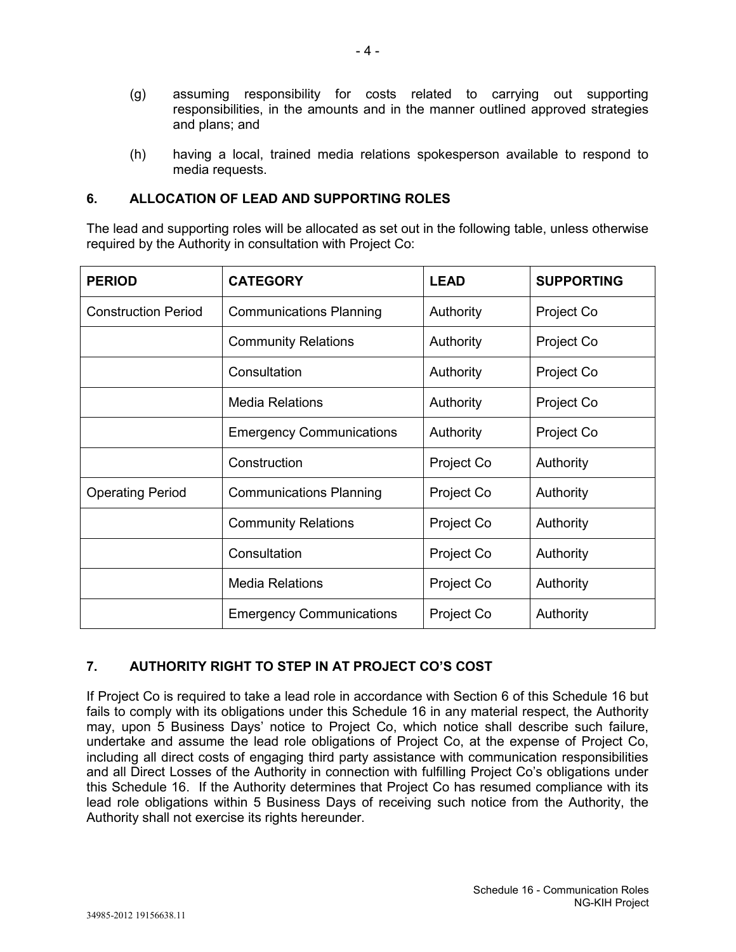- (g) assuming responsibility for costs related to carrying out supporting responsibilities, in the amounts and in the manner outlined approved strategies and plans; and
- (h) having a local, trained media relations spokesperson available to respond to media requests.

# **6. ALLOCATION OF LEAD AND SUPPORTING ROLES**

The lead and supporting roles will be allocated as set out in the following table, unless otherwise required by the Authority in consultation with Project Co:

| <b>PERIOD</b>              | <b>CATEGORY</b>                 | <b>LEAD</b> | <b>SUPPORTING</b> |
|----------------------------|---------------------------------|-------------|-------------------|
| <b>Construction Period</b> | <b>Communications Planning</b>  | Authority   | Project Co        |
|                            | <b>Community Relations</b>      | Authority   | Project Co        |
|                            | Consultation                    | Authority   | Project Co        |
|                            | <b>Media Relations</b>          | Authority   | Project Co        |
|                            | <b>Emergency Communications</b> | Authority   | Project Co        |
|                            | Construction                    | Project Co  | Authority         |
| <b>Operating Period</b>    | <b>Communications Planning</b>  | Project Co  | Authority         |
|                            | <b>Community Relations</b>      | Project Co  | Authority         |
|                            | Consultation                    | Project Co  | Authority         |
|                            | <b>Media Relations</b>          | Project Co  | Authority         |
|                            | <b>Emergency Communications</b> | Project Co  | Authority         |

# **7. AUTHORITY RIGHT TO STEP IN AT PROJECT CO'S COST**

If Project Co is required to take a lead role in accordance with Section 6 of this Schedule 16 but fails to comply with its obligations under this Schedule 16 in any material respect, the Authority may, upon 5 Business Days' notice to Project Co, which notice shall describe such failure, undertake and assume the lead role obligations of Project Co, at the expense of Project Co, including all direct costs of engaging third party assistance with communication responsibilities and all Direct Losses of the Authority in connection with fulfilling Project Co's obligations under this Schedule 16. If the Authority determines that Project Co has resumed compliance with its lead role obligations within 5 Business Days of receiving such notice from the Authority, the Authority shall not exercise its rights hereunder.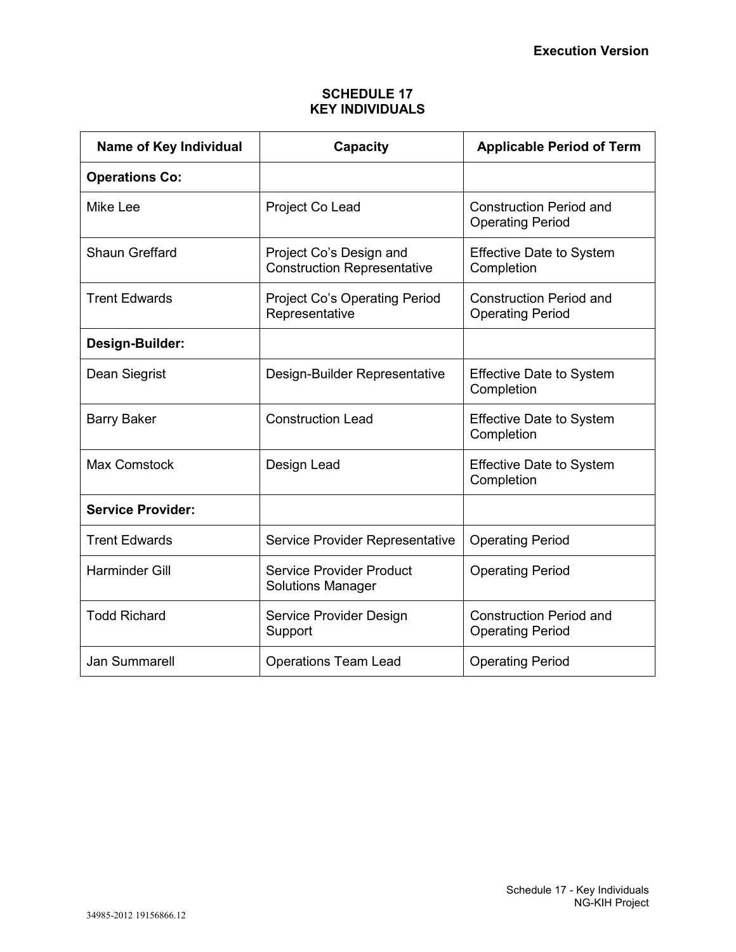# **SCHEDULE 17 KEY INDIVIDUALS**

| Name of Key Individual   | Capacity                                                      | <b>Applicable Period of Term</b>                          |  |
|--------------------------|---------------------------------------------------------------|-----------------------------------------------------------|--|
| <b>Operations Co:</b>    |                                                               |                                                           |  |
| Mike Lee                 | Project Co Lead                                               | <b>Construction Period and</b><br><b>Operating Period</b> |  |
| <b>Shaun Greffard</b>    | Project Co's Design and<br><b>Construction Representative</b> | <b>Effective Date to System</b><br>Completion             |  |
| <b>Trent Edwards</b>     | <b>Project Co's Operating Period</b><br>Representative        | <b>Construction Period and</b><br><b>Operating Period</b> |  |
| Design-Builder:          |                                                               |                                                           |  |
| Dean Siegrist            | Design-Builder Representative                                 | <b>Effective Date to System</b><br>Completion             |  |
| <b>Barry Baker</b>       | <b>Construction Lead</b>                                      | <b>Effective Date to System</b><br>Completion             |  |
| <b>Max Comstock</b>      | Design Lead                                                   | <b>Effective Date to System</b><br>Completion             |  |
| <b>Service Provider:</b> |                                                               |                                                           |  |
| <b>Trent Edwards</b>     | Service Provider Representative                               | <b>Operating Period</b>                                   |  |
| <b>Harminder Gill</b>    | <b>Service Provider Product</b><br><b>Solutions Manager</b>   | <b>Operating Period</b>                                   |  |
| <b>Todd Richard</b>      | Service Provider Design<br>Support                            | <b>Construction Period and</b><br><b>Operating Period</b> |  |
| <b>Jan Summarell</b>     | <b>Operations Team Lead</b>                                   | <b>Operating Period</b>                                   |  |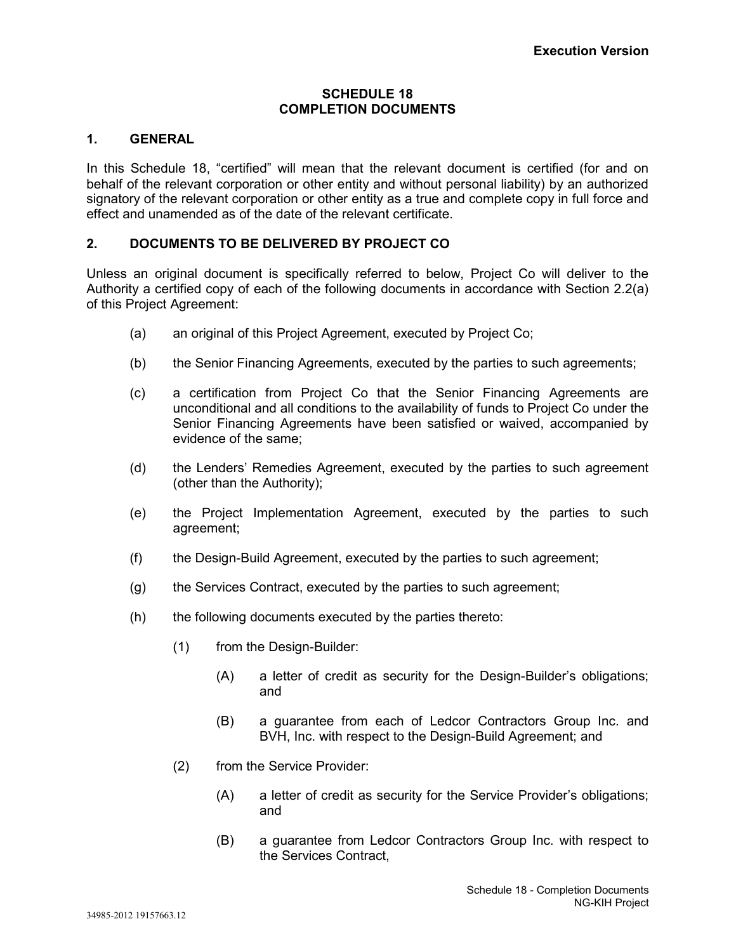### **SCHEDULE 18 COMPLETION DOCUMENTS**

# **1. GENERAL**

In this Schedule 18, "certified" will mean that the relevant document is certified (for and on behalf of the relevant corporation or other entity and without personal liability) by an authorized signatory of the relevant corporation or other entity as a true and complete copy in full force and effect and unamended as of the date of the relevant certificate.

# **2. DOCUMENTS TO BE DELIVERED BY PROJECT CO**

Unless an original document is specifically referred to below, Project Co will deliver to the Authority a certified copy of each of the following documents in accordance with Section 2.2(a) of this Project Agreement:

- (a) an original of this Project Agreement, executed by Project Co;
- (b) the Senior Financing Agreements, executed by the parties to such agreements;
- (c) a certification from Project Co that the Senior Financing Agreements are unconditional and all conditions to the availability of funds to Project Co under the Senior Financing Agreements have been satisfied or waived, accompanied by evidence of the same;
- (d) the Lenders' Remedies Agreement, executed by the parties to such agreement (other than the Authority);
- (e) the Project Implementation Agreement, executed by the parties to such agreement;
- (f) the Design-Build Agreement, executed by the parties to such agreement;
- (g) the Services Contract, executed by the parties to such agreement;
- (h) the following documents executed by the parties thereto:
	- (1) from the Design-Builder:
		- (A) a letter of credit as security for the Design-Builder's obligations; and
		- (B) a guarantee from each of Ledcor Contractors Group Inc. and BVH, Inc. with respect to the Design-Build Agreement; and
	- (2) from the Service Provider:
		- (A) a letter of credit as security for the Service Provider's obligations; and
		- (B) a guarantee from Ledcor Contractors Group Inc. with respect to the Services Contract,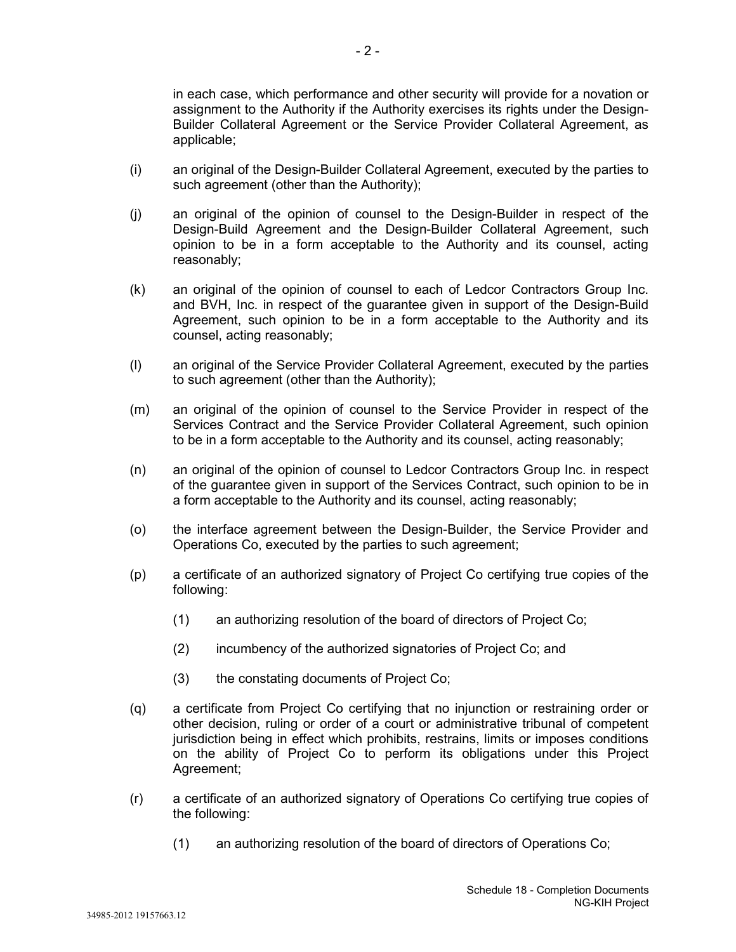in each case, which performance and other security will provide for a novation or assignment to the Authority if the Authority exercises its rights under the Design-Builder Collateral Agreement or the Service Provider Collateral Agreement, as applicable;

- (i) an original of the Design-Builder Collateral Agreement, executed by the parties to such agreement (other than the Authority);
- (j) an original of the opinion of counsel to the Design-Builder in respect of the Design-Build Agreement and the Design-Builder Collateral Agreement, such opinion to be in a form acceptable to the Authority and its counsel, acting reasonably;
- (k) an original of the opinion of counsel to each of Ledcor Contractors Group Inc. and BVH, Inc. in respect of the guarantee given in support of the Design-Build Agreement, such opinion to be in a form acceptable to the Authority and its counsel, acting reasonably;
- (l) an original of the Service Provider Collateral Agreement, executed by the parties to such agreement (other than the Authority);
- (m) an original of the opinion of counsel to the Service Provider in respect of the Services Contract and the Service Provider Collateral Agreement, such opinion to be in a form acceptable to the Authority and its counsel, acting reasonably;
- (n) an original of the opinion of counsel to Ledcor Contractors Group Inc. in respect of the guarantee given in support of the Services Contract, such opinion to be in a form acceptable to the Authority and its counsel, acting reasonably;
- (o) the interface agreement between the Design-Builder, the Service Provider and Operations Co, executed by the parties to such agreement;
- (p) a certificate of an authorized signatory of Project Co certifying true copies of the following:
	- (1) an authorizing resolution of the board of directors of Project Co;
	- (2) incumbency of the authorized signatories of Project Co; and
	- (3) the constating documents of Project Co;
- (q) a certificate from Project Co certifying that no injunction or restraining order or other decision, ruling or order of a court or administrative tribunal of competent jurisdiction being in effect which prohibits, restrains, limits or imposes conditions on the ability of Project Co to perform its obligations under this Project Agreement;
- (r) a certificate of an authorized signatory of Operations Co certifying true copies of the following:
	- (1) an authorizing resolution of the board of directors of Operations Co;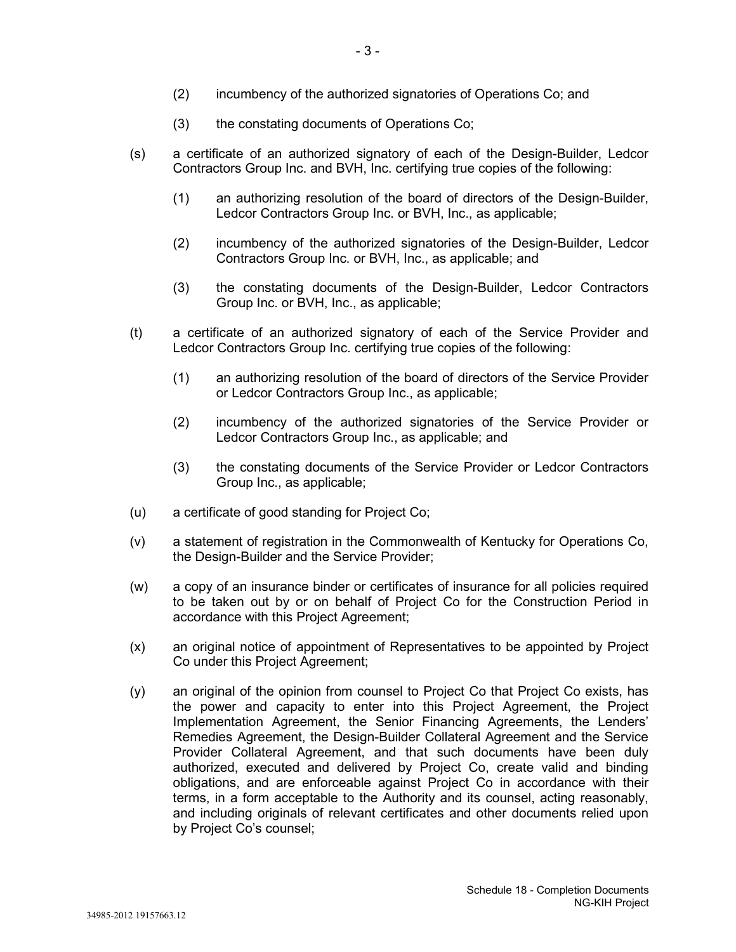- (2) incumbency of the authorized signatories of Operations Co; and
- (3) the constating documents of Operations Co;
- (s) a certificate of an authorized signatory of each of the Design-Builder, Ledcor Contractors Group Inc. and BVH, Inc. certifying true copies of the following:
	- (1) an authorizing resolution of the board of directors of the Design-Builder, Ledcor Contractors Group Inc. or BVH, Inc., as applicable;
	- (2) incumbency of the authorized signatories of the Design-Builder, Ledcor Contractors Group Inc. or BVH, Inc., as applicable; and
	- (3) the constating documents of the Design-Builder, Ledcor Contractors Group Inc. or BVH, Inc., as applicable;
- (t) a certificate of an authorized signatory of each of the Service Provider and Ledcor Contractors Group Inc. certifying true copies of the following:
	- (1) an authorizing resolution of the board of directors of the Service Provider or Ledcor Contractors Group Inc., as applicable;
	- (2) incumbency of the authorized signatories of the Service Provider or Ledcor Contractors Group Inc., as applicable; and
	- (3) the constating documents of the Service Provider or Ledcor Contractors Group Inc., as applicable;
- (u) a certificate of good standing for Project Co;
- (v) a statement of registration in the Commonwealth of Kentucky for Operations Co, the Design-Builder and the Service Provider;
- (w) a copy of an insurance binder or certificates of insurance for all policies required to be taken out by or on behalf of Project Co for the Construction Period in accordance with this Project Agreement;
- (x) an original notice of appointment of Representatives to be appointed by Project Co under this Project Agreement;
- (y) an original of the opinion from counsel to Project Co that Project Co exists, has the power and capacity to enter into this Project Agreement, the Project Implementation Agreement, the Senior Financing Agreements, the Lenders' Remedies Agreement, the Design-Builder Collateral Agreement and the Service Provider Collateral Agreement, and that such documents have been duly authorized, executed and delivered by Project Co, create valid and binding obligations, and are enforceable against Project Co in accordance with their terms, in a form acceptable to the Authority and its counsel, acting reasonably, and including originals of relevant certificates and other documents relied upon by Project Co's counsel;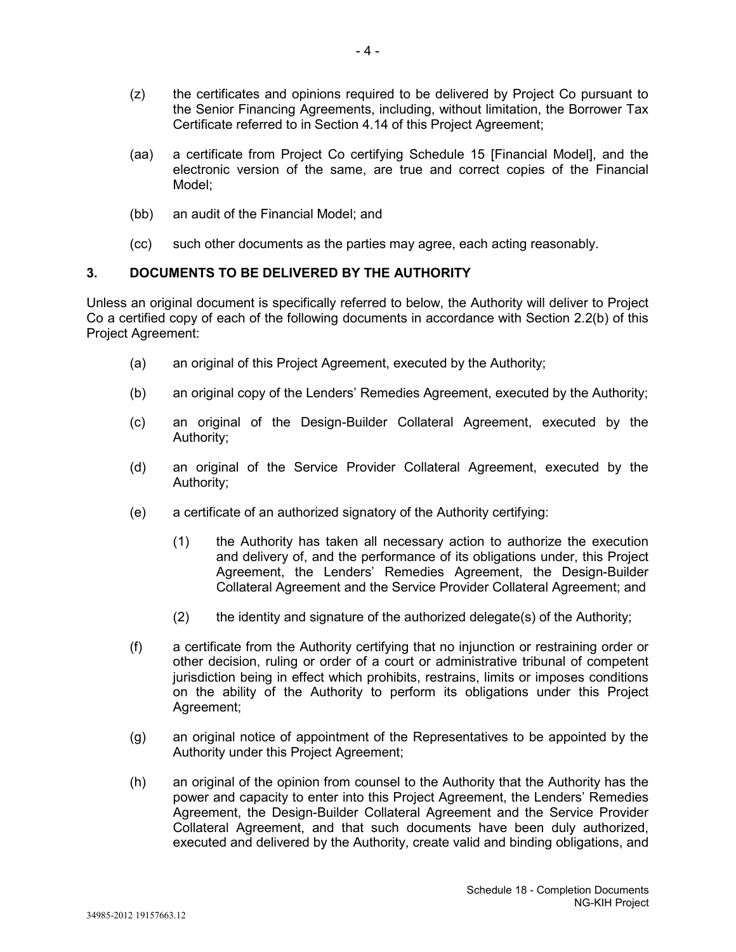- (z) the certificates and opinions required to be delivered by Project Co pursuant to the Senior Financing Agreements, including, without limitation, the Borrower Tax Certificate referred to in Section 4.14 of this Project Agreement;
- (aa) a certificate from Project Co certifying Schedule 15 [Financial Model], and the electronic version of the same, are true and correct copies of the Financial Model;
- (bb) an audit of the Financial Model; and
- (cc) such other documents as the parties may agree, each acting reasonably.

# **3. DOCUMENTS TO BE DELIVERED BY THE AUTHORITY**

Unless an original document is specifically referred to below, the Authority will deliver to Project Co a certified copy of each of the following documents in accordance with Section 2.2(b) of this Project Agreement:

- (a) an original of this Project Agreement, executed by the Authority;
- (b) an original copy of the Lenders' Remedies Agreement, executed by the Authority;
- (c) an original of the Design-Builder Collateral Agreement, executed by the Authority;
- (d) an original of the Service Provider Collateral Agreement, executed by the Authority;
- (e) a certificate of an authorized signatory of the Authority certifying:
	- (1) the Authority has taken all necessary action to authorize the execution and delivery of, and the performance of its obligations under, this Project Agreement, the Lenders' Remedies Agreement, the Design-Builder Collateral Agreement and the Service Provider Collateral Agreement; and
	- (2) the identity and signature of the authorized delegate(s) of the Authority;
- (f) a certificate from the Authority certifying that no injunction or restraining order or other decision, ruling or order of a court or administrative tribunal of competent jurisdiction being in effect which prohibits, restrains, limits or imposes conditions on the ability of the Authority to perform its obligations under this Project Agreement;
- (g) an original notice of appointment of the Representatives to be appointed by the Authority under this Project Agreement;
- (h) an original of the opinion from counsel to the Authority that the Authority has the power and capacity to enter into this Project Agreement, the Lenders' Remedies Agreement, the Design-Builder Collateral Agreement and the Service Provider Collateral Agreement, and that such documents have been duly authorized, executed and delivered by the Authority, create valid and binding obligations, and